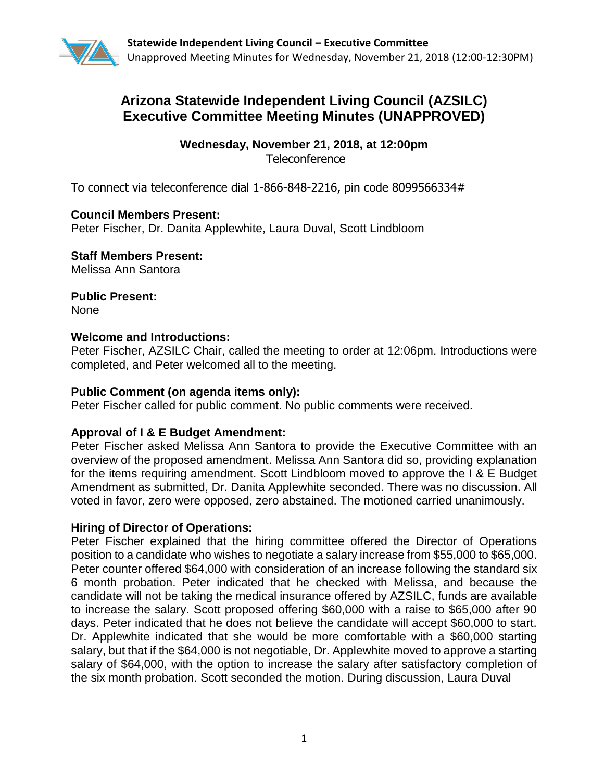

# **Arizona Statewide Independent Living Council (AZSILC) Executive Committee Meeting Minutes (UNAPPROVED)**

**Wednesday, November 21, 2018, at 12:00pm Teleconference** 

To connect via teleconference dial 1-866-848-2216, pin code 8099566334#

# **Council Members Present:**

Peter Fischer, Dr. Danita Applewhite, Laura Duval, Scott Lindbloom

**Staff Members Present:**  Melissa Ann Santora

**Public Present:**  None

# **Welcome and Introductions:**

Peter Fischer, AZSILC Chair, called the meeting to order at 12:06pm. Introductions were completed, and Peter welcomed all to the meeting.

### **Public Comment (on agenda items only):**

Peter Fischer called for public comment. No public comments were received.

### **Approval of I & E Budget Amendment:**

Peter Fischer asked Melissa Ann Santora to provide the Executive Committee with an overview of the proposed amendment. Melissa Ann Santora did so, providing explanation for the items requiring amendment. Scott Lindbloom moved to approve the I & E Budget Amendment as submitted, Dr. Danita Applewhite seconded. There was no discussion. All voted in favor, zero were opposed, zero abstained. The motioned carried unanimously.

### **Hiring of Director of Operations:**

Peter Fischer explained that the hiring committee offered the Director of Operations position to a candidate who wishes to negotiate a salary increase from \$55,000 to \$65,000. Peter counter offered \$64,000 with consideration of an increase following the standard six 6 month probation. Peter indicated that he checked with Melissa, and because the candidate will not be taking the medical insurance offered by AZSILC, funds are available to increase the salary. Scott proposed offering \$60,000 with a raise to \$65,000 after 90 days. Peter indicated that he does not believe the candidate will accept \$60,000 to start. Dr. Applewhite indicated that she would be more comfortable with a \$60,000 starting salary, but that if the \$64,000 is not negotiable, Dr. Applewhite moved to approve a starting salary of \$64,000, with the option to increase the salary after satisfactory completion of the six month probation. Scott seconded the motion. During discussion, Laura Duval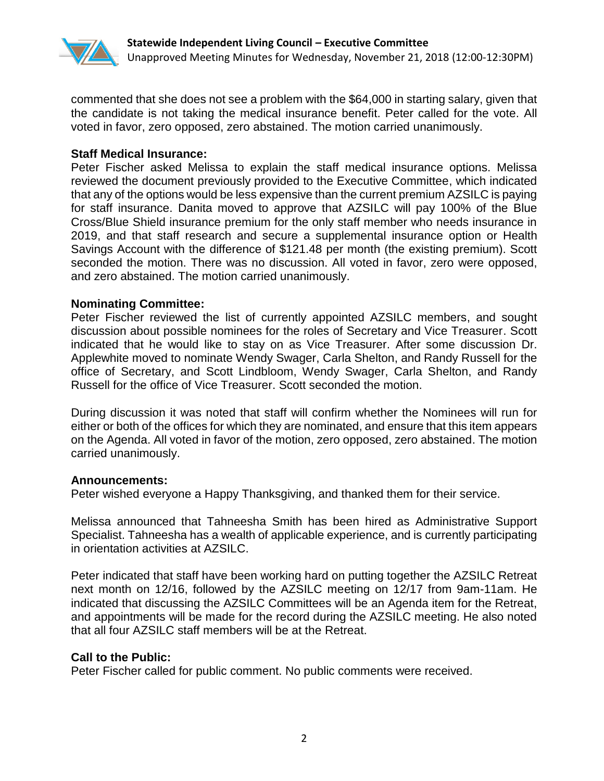

commented that she does not see a problem with the \$64,000 in starting salary, given that the candidate is not taking the medical insurance benefit. Peter called for the vote. All voted in favor, zero opposed, zero abstained. The motion carried unanimously.

# **Staff Medical Insurance:**

Peter Fischer asked Melissa to explain the staff medical insurance options. Melissa reviewed the document previously provided to the Executive Committee, which indicated that any of the options would be less expensive than the current premium AZSILC is paying for staff insurance. Danita moved to approve that AZSILC will pay 100% of the Blue Cross/Blue Shield insurance premium for the only staff member who needs insurance in 2019, and that staff research and secure a supplemental insurance option or Health Savings Account with the difference of \$121.48 per month (the existing premium). Scott seconded the motion. There was no discussion. All voted in favor, zero were opposed, and zero abstained. The motion carried unanimously.

# **Nominating Committee:**

Peter Fischer reviewed the list of currently appointed AZSILC members, and sought discussion about possible nominees for the roles of Secretary and Vice Treasurer. Scott indicated that he would like to stay on as Vice Treasurer. After some discussion Dr. Applewhite moved to nominate Wendy Swager, Carla Shelton, and Randy Russell for the office of Secretary, and Scott Lindbloom, Wendy Swager, Carla Shelton, and Randy Russell for the office of Vice Treasurer. Scott seconded the motion.

During discussion it was noted that staff will confirm whether the Nominees will run for either or both of the offices for which they are nominated, and ensure that this item appears on the Agenda. All voted in favor of the motion, zero opposed, zero abstained. The motion carried unanimously.

### **Announcements:**

Peter wished everyone a Happy Thanksgiving, and thanked them for their service.

Melissa announced that Tahneesha Smith has been hired as Administrative Support Specialist. Tahneesha has a wealth of applicable experience, and is currently participating in orientation activities at AZSILC.

Peter indicated that staff have been working hard on putting together the AZSILC Retreat next month on 12/16, followed by the AZSILC meeting on 12/17 from 9am-11am. He indicated that discussing the AZSILC Committees will be an Agenda item for the Retreat, and appointments will be made for the record during the AZSILC meeting. He also noted that all four AZSILC staff members will be at the Retreat.

### **Call to the Public:**

Peter Fischer called for public comment. No public comments were received.